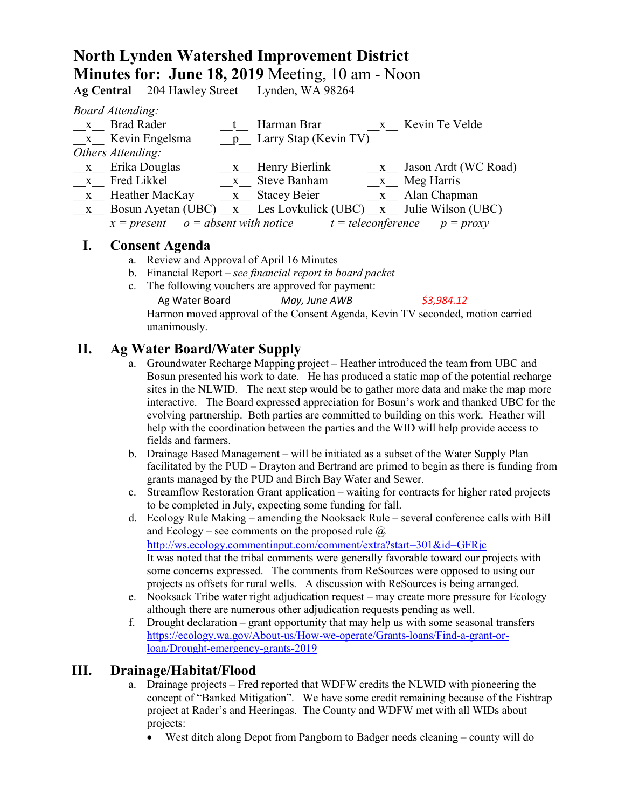# **North Lynden Watershed Improvement District Minutes for: June 18, 2019** Meeting, 10 am - Noon

**Ag Central** 204 Hawley Street Lynden, WA 98264

*Board Attending:*

| $\mathbf{X}$ | <b>Brad Rader</b>      |              | Harman Brar                                                             | x Kevin Te Velde       |
|--------------|------------------------|--------------|-------------------------------------------------------------------------|------------------------|
|              | x Kevin Engelsma       |              | p Larry Stap (Kevin TV)                                                 |                        |
|              | Others Attending:      |              |                                                                         |                        |
|              | x Erika Douglas        | $\mathbf{X}$ | Henry Bierlink                                                          | x Jason Ardt (WC Road) |
|              | x Fred Likkel          |              | x Steve Banham                                                          | x Meg Harris           |
|              | x Heather MacKay       |              | x Stacey Beier                                                          | x Alan Chapman         |
|              |                        |              | x Bosun Ayetan (UBC) x Les Lovkulick (UBC) x Julie Wilson (UBC)         |                        |
|              |                        |              | $x = present$ $o = absent with notice$ $t = teleconference$ $p = proxy$ |                        |
|              | $\Gamma$ ongont Agondo |              |                                                                         |                        |

### **I. Consent Agenda**

- a. Review and Approval of April 16 Minutes
- b. Financial Report *see financial report in board packet*
- c. The following vouchers are approved for payment:

Ag Water Board *May, June AWB \$3,984.12*

Harmon moved approval of the Consent Agenda, Kevin TV seconded, motion carried unanimously.

## **II. Ag Water Board/Water Supply**

- a. Groundwater Recharge Mapping project Heather introduced the team from UBC and Bosun presented his work to date. He has produced a static map of the potential recharge sites in the NLWID. The next step would be to gather more data and make the map more interactive. The Board expressed appreciation for Bosun's work and thanked UBC for the evolving partnership. Both parties are committed to building on this work. Heather will help with the coordination between the parties and the WID will help provide access to fields and farmers.
- b. Drainage Based Management will be initiated as a subset of the Water Supply Plan facilitated by the PUD – Drayton and Bertrand are primed to begin as there is funding from grants managed by the PUD and Birch Bay Water and Sewer.
- c. Streamflow Restoration Grant application waiting for contracts for higher rated projects to be completed in July, expecting some funding for fall.
- d. Ecology Rule Making amending the Nooksack Rule several conference calls with Bill and Ecology – see comments on the proposed rule  $\omega$ <http://ws.ecology.commentinput.com/comment/extra?start=301&id=GFRjc> It was noted that the tribal comments were generally favorable toward our projects with some concerns expressed. The comments from ReSources were opposed to using our projects as offsets for rural wells. A discussion with ReSources is being arranged.
- e. Nooksack Tribe water right adjudication request may create more pressure for Ecology although there are numerous other adjudication requests pending as well.
- f. Drought declaration grant opportunity that may help us with some seasonal transfers [https://ecology.wa.gov/About-us/How-we-operate/Grants-loans/Find-a-grant-or](https://ecology.wa.gov/About-us/How-we-operate/Grants-loans/Find-a-grant-or-loan/Drought-emergency-grants-2019)[loan/Drought-emergency-grants-2019](https://ecology.wa.gov/About-us/How-we-operate/Grants-loans/Find-a-grant-or-loan/Drought-emergency-grants-2019)

### **III. Drainage/Habitat/Flood**

- a. Drainage projects Fred reported that WDFW credits the NLWID with pioneering the concept of "Banked Mitigation". We have some credit remaining because of the Fishtrap project at Rader's and Heeringas. The County and WDFW met with all WIDs about projects:
	- West ditch along Depot from Pangborn to Badger needs cleaning county will do